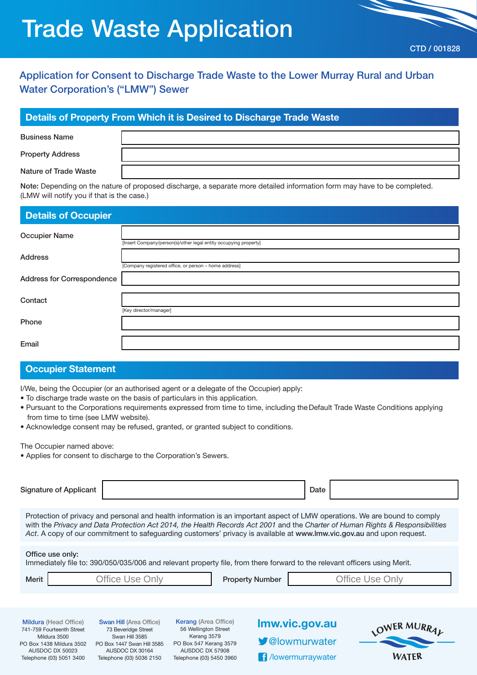# **Trade Waste Application**

## Application for Consent to Discharge Trade Waste to the Lower Murray Rural and Urban Water Corporation's ("LMW") Sewer

#### **Details of Property From Which it is Desired to Discharge Trade Waste**

|  | <b>Business Name</b> |  |
|--|----------------------|--|
|  |                      |  |

Property Address

Nature of Trade Waste

Note: Depending on the nature of proposed discharge, a separate more detailed information form may have to be completed. (LMW will notify you if that is the case.)

| <b>Details of Occupier</b> |                                                                  |
|----------------------------|------------------------------------------------------------------|
| <b>Occupier Name</b>       |                                                                  |
|                            | [Insert Company/person(s)/other legal entity occupying property] |
| <b>Address</b>             |                                                                  |
|                            | [Company registered office, or person - home address]            |
| Address for Correspondence |                                                                  |
|                            |                                                                  |
| Contact                    |                                                                  |
|                            | [Key director/manager]                                           |
| Phone                      |                                                                  |
|                            |                                                                  |
| Email                      |                                                                  |

#### **Occupier Statement**

I/We, being the Occupier (or an authorised agent or a delegate of the Occupier) apply:

- To discharge trade waste on the basis of particulars in this application.
- Pursuant to the Corporations requirements expressed from time to time, including the Default Trade Waste Conditions applying from time to time (see LMW website).
- Acknowledge consent may be refused, granted, or granted subject to conditions.

The Occupier named above:

• Applies for consent to discharge to the Corporation's Sewers.

| Tripplies for consent to discriming to the corporation's oewers.                                                                                                                                                                                                                                                                                                                     |                                                                                                                                                      |                                                                                                                                             |                                                                |       |  |  |  |  |
|--------------------------------------------------------------------------------------------------------------------------------------------------------------------------------------------------------------------------------------------------------------------------------------------------------------------------------------------------------------------------------------|------------------------------------------------------------------------------------------------------------------------------------------------------|---------------------------------------------------------------------------------------------------------------------------------------------|----------------------------------------------------------------|-------|--|--|--|--|
| <b>Signature of Applicant</b>                                                                                                                                                                                                                                                                                                                                                        |                                                                                                                                                      |                                                                                                                                             | Date                                                           |       |  |  |  |  |
| Protection of privacy and personal and health information is an important aspect of LMW operations. We are bound to comply<br>with the Privacy and Data Protection Act 2014, the Health Records Act 2001 and the Charter of Human Rights & Responsibilities<br>Act. A copy of our commitment to safeguarding customers' privacy is available at www.lmw.vic.gov.au and upon request. |                                                                                                                                                      |                                                                                                                                             |                                                                |       |  |  |  |  |
| Office use only:<br>Immediately file to: 390/050/035/006 and relevant property file, from there forward to the relevant officers using Merit.<br><b>Office Use Only</b><br>Office Use Only<br>Merit<br><b>Property Number</b>                                                                                                                                                        |                                                                                                                                                      |                                                                                                                                             |                                                                |       |  |  |  |  |
|                                                                                                                                                                                                                                                                                                                                                                                      |                                                                                                                                                      |                                                                                                                                             |                                                                |       |  |  |  |  |
| Mildura (Head Office)<br>741-759 Fourteenth Street<br>Mildura 3500<br>PO Box 1438 Mildura 3502<br>AUSDOC DX 50023<br>Telephone (03) 5051 3400                                                                                                                                                                                                                                        | <b>Swan Hill (Area Office)</b><br>73 Beveridge Street<br>Swan Hill 3585<br>PO Box 1447 Swan Hill 3585<br>AUSDOC DX 30164<br>Telephone (03) 5036 2150 | <b>Kerang (Area Office)</b><br>56 Wellington Street<br>Kerang 3579<br>PO Box 547 Kerang 3579<br>AUSDOC DX 57908<br>Telephone (03) 5450 3960 | Imw.vic.gov.au<br><b>V</b> @lowmurwater<br>f /lowermurraywater | WATER |  |  |  |  |